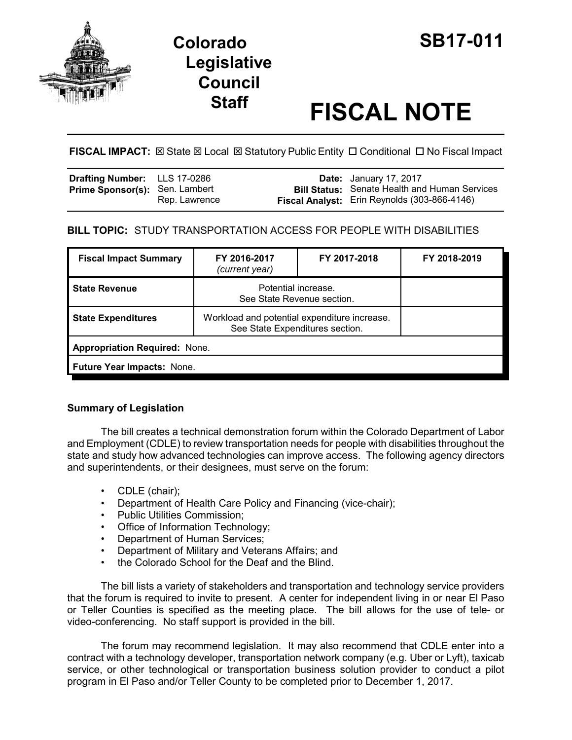

# **Colorado SB17-011 Legislative Council**

# **Staff FISCAL NOTE**

FISCAL IMPACT:  $\boxtimes$  State  $\boxtimes$  Local  $\boxtimes$  Statutory Public Entity  $\Box$  Conditional  $\Box$  No Fiscal Impact

| <b>Drafting Number:</b> LLS 17-0286   |               | <b>Date:</b> January 17, 2017                                                                        |
|---------------------------------------|---------------|------------------------------------------------------------------------------------------------------|
| <b>Prime Sponsor(s): Sen. Lambert</b> | Rep. Lawrence | <b>Bill Status:</b> Senate Health and Human Services<br>Fiscal Analyst: Erin Reynolds (303-866-4146) |

## **BILL TOPIC:** STUDY TRANSPORTATION ACCESS FOR PEOPLE WITH DISABILITIES

| <b>Fiscal Impact Summary</b>         | FY 2016-2017<br>(current year)                                                  | FY 2017-2018 | FY 2018-2019 |  |  |  |
|--------------------------------------|---------------------------------------------------------------------------------|--------------|--------------|--|--|--|
| <b>State Revenue</b>                 | Potential increase.<br>See State Revenue section.                               |              |              |  |  |  |
| <b>State Expenditures</b>            | Workload and potential expenditure increase.<br>See State Expenditures section. |              |              |  |  |  |
| <b>Appropriation Required: None.</b> |                                                                                 |              |              |  |  |  |
| Future Year Impacts: None.           |                                                                                 |              |              |  |  |  |

### **Summary of Legislation**

The bill creates a technical demonstration forum within the Colorado Department of Labor and Employment (CDLE) to review transportation needs for people with disabilities throughout the state and study how advanced technologies can improve access. The following agency directors and superintendents, or their designees, must serve on the forum:

- CDLE (chair);
- Department of Health Care Policy and Financing (vice-chair);
- Public Utilities Commission;
- Office of Information Technology;
- Department of Human Services;
- Department of Military and Veterans Affairs; and
- the Colorado School for the Deaf and the Blind.

The bill lists a variety of stakeholders and transportation and technology service providers that the forum is required to invite to present. A center for independent living in or near El Paso or Teller Counties is specified as the meeting place. The bill allows for the use of tele- or video-conferencing. No staff support is provided in the bill.

The forum may recommend legislation. It may also recommend that CDLE enter into a contract with a technology developer, transportation network company (e.g. Uber or Lyft), taxicab service, or other technological or transportation business solution provider to conduct a pilot program in El Paso and/or Teller County to be completed prior to December 1, 2017.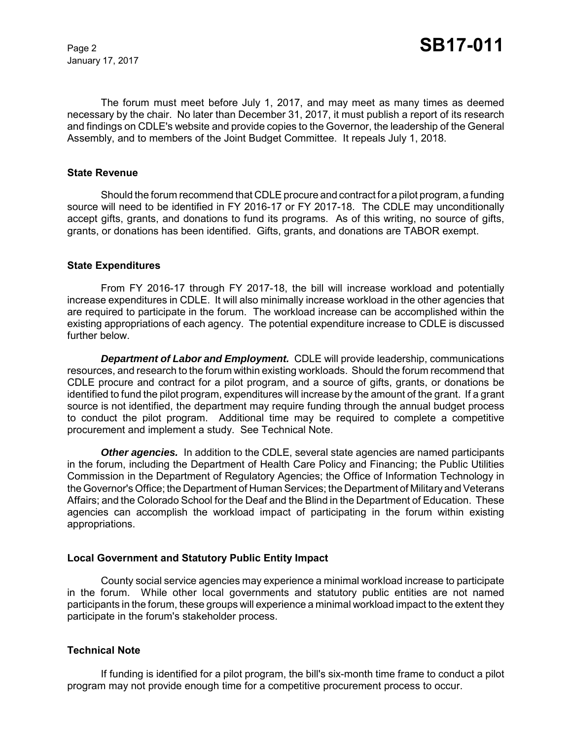January 17, 2017

The forum must meet before July 1, 2017, and may meet as many times as deemed necessary by the chair. No later than December 31, 2017, it must publish a report of its research and findings on CDLE's website and provide copies to the Governor, the leadership of the General Assembly, and to members of the Joint Budget Committee. It repeals July 1, 2018.

#### **State Revenue**

Should the forum recommend that CDLE procure and contract for a pilot program, a funding source will need to be identified in FY 2016-17 or FY 2017-18. The CDLE may unconditionally accept gifts, grants, and donations to fund its programs. As of this writing, no source of gifts, grants, or donations has been identified. Gifts, grants, and donations are TABOR exempt.

#### **State Expenditures**

From FY 2016-17 through FY 2017-18, the bill will increase workload and potentially increase expenditures in CDLE. It will also minimally increase workload in the other agencies that are required to participate in the forum. The workload increase can be accomplished within the existing appropriations of each agency. The potential expenditure increase to CDLE is discussed further below.

*Department of Labor and Employment.* CDLE will provide leadership, communications resources, and research to the forum within existing workloads. Should the forum recommend that CDLE procure and contract for a pilot program, and a source of gifts, grants, or donations be identified to fund the pilot program, expenditures will increase by the amount of the grant. If a grant source is not identified, the department may require funding through the annual budget process to conduct the pilot program. Additional time may be required to complete a competitive procurement and implement a study. See Technical Note.

**Other agencies.** In addition to the CDLE, several state agencies are named participants in the forum, including the Department of Health Care Policy and Financing; the Public Utilities Commission in the Department of Regulatory Agencies; the Office of Information Technology in the Governor's Office; the Department of Human Services; the Department of Military and Veterans Affairs; and the Colorado School for the Deaf and the Blind in the Department of Education. These agencies can accomplish the workload impact of participating in the forum within existing appropriations.

#### **Local Government and Statutory Public Entity Impact**

County social service agencies may experience a minimal workload increase to participate in the forum. While other local governments and statutory public entities are not named participants in the forum, these groups will experience a minimal workload impact to the extent they participate in the forum's stakeholder process.

#### **Technical Note**

If funding is identified for a pilot program, the bill's six-month time frame to conduct a pilot program may not provide enough time for a competitive procurement process to occur.